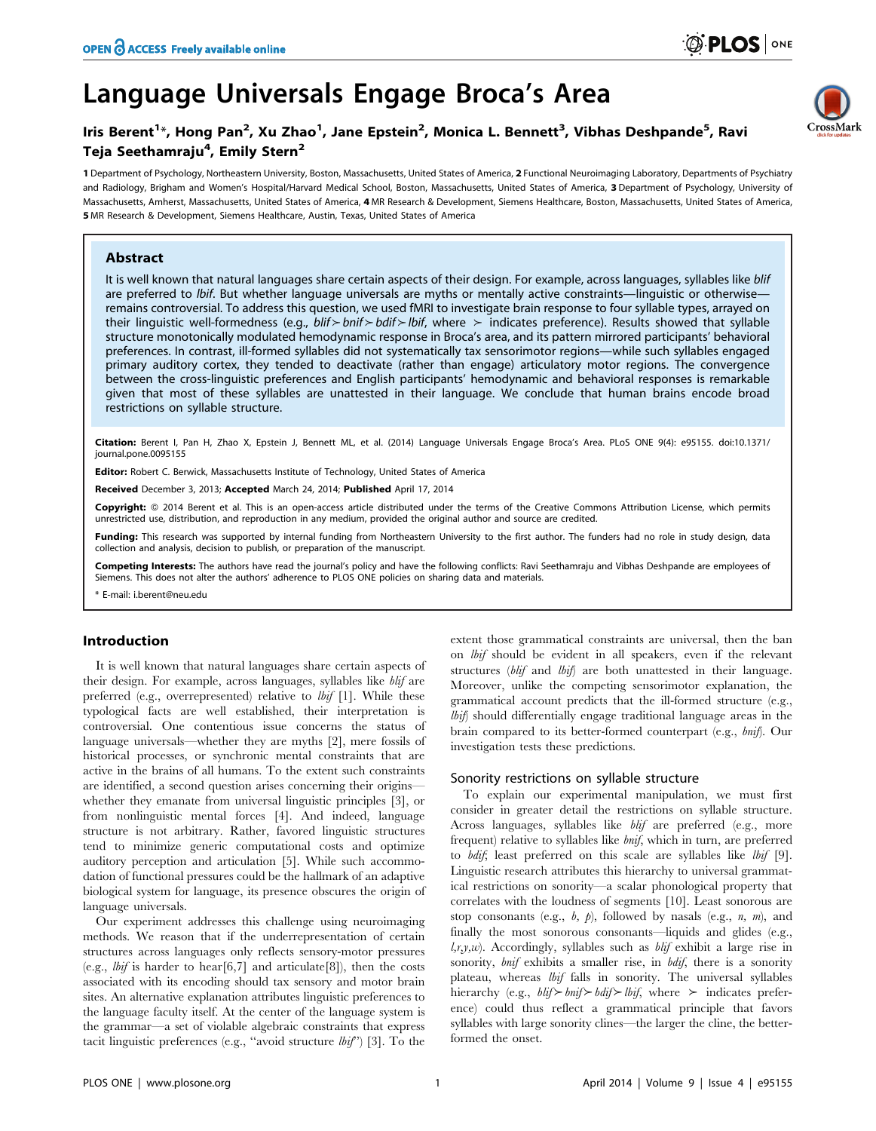# Language Universals Engage Broca's Area

### lris Berent<sup>1</sup>\*, Hong Pan<sup>2</sup>, Xu Zhao<sup>1</sup>, Jane Epstein<sup>2</sup>, Monica L. Bennett<sup>3</sup>, Vibhas Deshpande<sup>5</sup>, Ravi Teja Seethamraju<sup>4</sup>, Emily Stern<sup>2</sup>

1 Department of Psychology, Northeastern University, Boston, Massachusetts, United States of America, 2 Functional Neuroimaging Laboratory, Departments of Psychiatry and Radiology, Brigham and Women's Hospital/Harvard Medical School, Boston, Massachusetts, United States of America, 3 Department of Psychology, University of Massachusetts, Amherst, Massachusetts, United States of America, 4 MR Research & Development, Siemens Healthcare, Boston, Massachusetts, United States of America, 5 MR Research & Development, Siemens Healthcare, Austin, Texas, United States of America

#### Abstract

It is well known that natural languages share certain aspects of their design. For example, across languages, syllables like blif are preferred to *lbif*. But whether language universals are myths or mentally active constraints—linguistic or otherwiseremains controversial. To address this question, we used fMRI to investigate brain response to four syllable types, arrayed on their linguistic well-formedness (e.g., blif  $>$  bnif  $>$  bdif  $>$  lbif, where  $>$  indicates preference). Results showed that syllable structure monotonically modulated hemodynamic response in Broca's area, and its pattern mirrored participants' behavioral preferences. In contrast, ill-formed syllables did not systematically tax sensorimotor regions—while such syllables engaged primary auditory cortex, they tended to deactivate (rather than engage) articulatory motor regions. The convergence between the cross-linguistic preferences and English participants' hemodynamic and behavioral responses is remarkable given that most of these syllables are unattested in their language. We conclude that human brains encode broad restrictions on syllable structure.

Citation: Berent I, Pan H, Zhao X, Epstein J, Bennett ML, et al. (2014) Language Universals Engage Broca's Area. PLoS ONE 9(4): e95155. doi:10.1371/ journal.pone.0095155

Editor: Robert C. Berwick, Massachusetts Institute of Technology, United States of America

Received December 3, 2013; Accepted March 24, 2014; Published April 17, 2014

Copyright: © 2014 Berent et al. This is an open-access article distributed under the terms of the [Creative Commons Attribution License](http://creativecommons.org/licenses/by/4.0/), which permits unrestricted use, distribution, and reproduction in any medium, provided the original author and source are credited.

Funding: This research was supported by internal funding from Northeastern University to the first author. The funders had no role in study design, data collection and analysis, decision to publish, or preparation of the manuscript.

Competing Interests: The authors have read the journal's policy and have the following conflicts: Ravi Seethamraju and Vibhas Deshpande are employees of Siemens. This does not alter the authors' adherence to PLOS ONE policies on sharing data and materials.

\* E-mail: i.berent@neu.edu

#### Introduction

It is well known that natural languages share certain aspects of their design. For example, across languages, syllables like blif are preferred (e.g., overrepresented) relative to lbif [1]. While these typological facts are well established, their interpretation is controversial. One contentious issue concerns the status of language universals—whether they are myths [2], mere fossils of historical processes, or synchronic mental constraints that are active in the brains of all humans. To the extent such constraints are identified, a second question arises concerning their origins whether they emanate from universal linguistic principles [3], or from nonlinguistic mental forces [4]. And indeed, language structure is not arbitrary. Rather, favored linguistic structures tend to minimize generic computational costs and optimize auditory perception and articulation [5]. While such accommodation of functional pressures could be the hallmark of an adaptive biological system for language, its presence obscures the origin of language universals.

Our experiment addresses this challenge using neuroimaging methods. We reason that if the underrepresentation of certain structures across languages only reflects sensory-motor pressures (e.g., *lbif* is harder to hear[6,7] and articulate[8]), then the costs associated with its encoding should tax sensory and motor brain sites. An alternative explanation attributes linguistic preferences to the language faculty itself. At the center of the language system is the grammar—a set of violable algebraic constraints that express tacit linguistic preferences (e.g., "avoid structure  $lbj^2$ ) [3]. To the

extent those grammatical constraints are universal, then the ban on lbif should be evident in all speakers, even if the relevant structures (blif and lbif) are both unattested in their language. Moreover, unlike the competing sensorimotor explanation, the grammatical account predicts that the ill-formed structure (e.g., lbif) should differentially engage traditional language areas in the brain compared to its better-formed counterpart (e.g., bnif). Our investigation tests these predictions.

#### Sonority restrictions on syllable structure

To explain our experimental manipulation, we must first consider in greater detail the restrictions on syllable structure. Across languages, syllables like blif are preferred (e.g., more frequent) relative to syllables like bnif, which in turn, are preferred to bdif; least preferred on this scale are syllables like lbif [9]. Linguistic research attributes this hierarchy to universal grammatical restrictions on sonority—a scalar phonological property that correlates with the loudness of segments [10]. Least sonorous are stop consonants (e.g.,  $b$ ,  $p$ ), followed by nasals (e.g.,  $n$ ,  $m$ ), and finally the most sonorous consonants—liquids and glides (e.g.,  $l,r,y,w$ ). Accordingly, syllables such as *blif* exhibit a large rise in sonority, *bnif* exhibits a smaller rise, in *bdif*, there is a sonority plateau, whereas lbif falls in sonority. The universal syllables hierarchy (e.g.,  $b$ lif  $\rightarrow$  bnif  $\rightarrow$  bdif  $\rightarrow$  lbif, where  $\rightarrow$  indicates preference) could thus reflect a grammatical principle that favors syllables with large sonority clines—the larger the cline, the betterformed the onset.

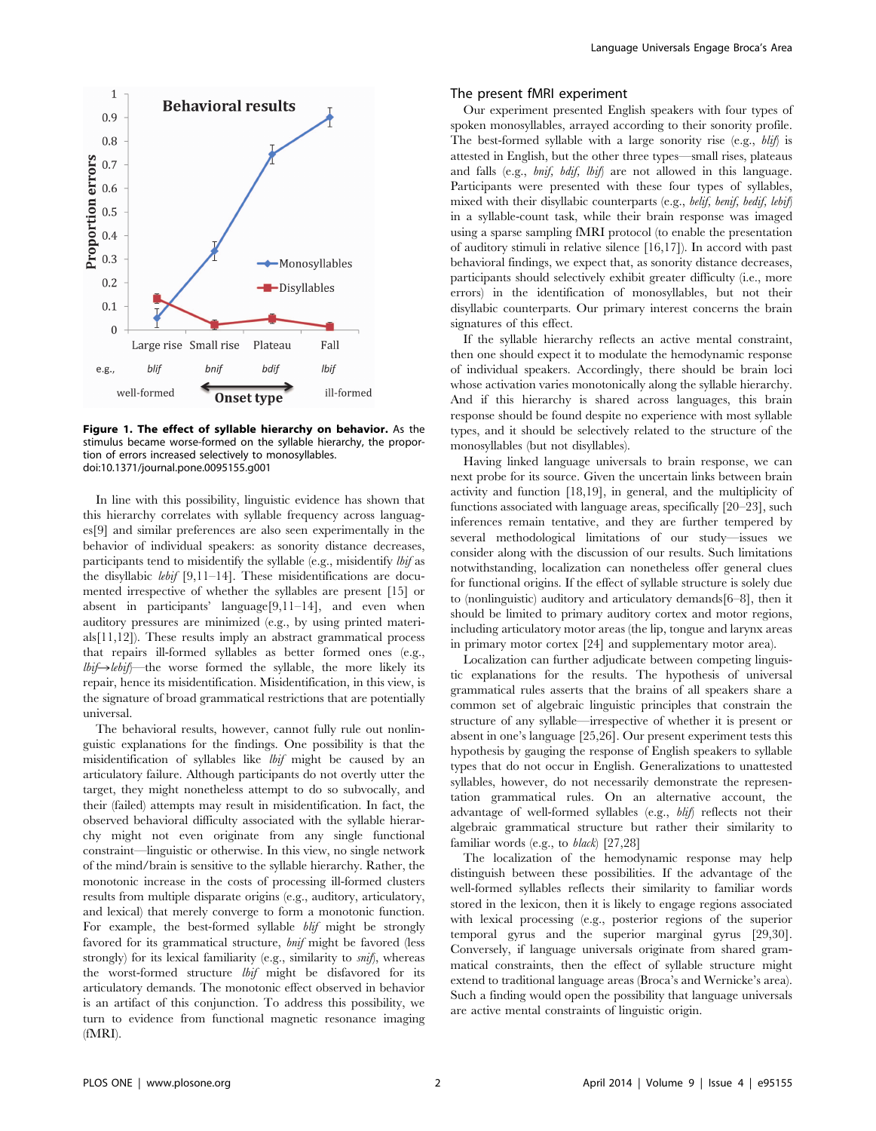

Figure 1. The effect of syllable hierarchy on behavior. As the stimulus became worse-formed on the syllable hierarchy, the proportion of errors increased selectively to monosyllables. doi:10.1371/journal.pone.0095155.g001

In line with this possibility, linguistic evidence has shown that this hierarchy correlates with syllable frequency across languages[9] and similar preferences are also seen experimentally in the behavior of individual speakers: as sonority distance decreases, participants tend to misidentify the syllable (e.g., misidentify lbif as the disyllabic lebif [9,11–14]. These misidentifications are documented irrespective of whether the syllables are present [15] or absent in participants' language[9,11–14], and even when auditory pressures are minimized (e.g., by using printed materials[11,12]). These results imply an abstract grammatical process that repairs ill-formed syllables as better formed ones (e.g.,  $lbi\rightarrow labi\uparrow$  the worse formed the syllable, the more likely its repair, hence its misidentification. Misidentification, in this view, is the signature of broad grammatical restrictions that are potentially universal.

The behavioral results, however, cannot fully rule out nonlinguistic explanations for the findings. One possibility is that the misidentification of syllables like lbif might be caused by an articulatory failure. Although participants do not overtly utter the target, they might nonetheless attempt to do so subvocally, and their (failed) attempts may result in misidentification. In fact, the observed behavioral difficulty associated with the syllable hierarchy might not even originate from any single functional constraint—linguistic or otherwise. In this view, no single network of the mind/brain is sensitive to the syllable hierarchy. Rather, the monotonic increase in the costs of processing ill-formed clusters results from multiple disparate origins (e.g., auditory, articulatory, and lexical) that merely converge to form a monotonic function. For example, the best-formed syllable blif might be strongly favored for its grammatical structure, bnif might be favored (less strongly) for its lexical familiarity (e.g., similarity to snif), whereas the worst-formed structure lbif might be disfavored for its articulatory demands. The monotonic effect observed in behavior is an artifact of this conjunction. To address this possibility, we turn to evidence from functional magnetic resonance imaging (fMRI).

#### The present fMRI experiment

Our experiment presented English speakers with four types of spoken monosyllables, arrayed according to their sonority profile. The best-formed syllable with a large sonority rise (e.g., blif) is attested in English, but the other three types—small rises, plateaus and falls (e.g., bnif, bdif, lbif) are not allowed in this language. Participants were presented with these four types of syllables, mixed with their disyllabic counterparts (e.g., belif, benif, bedif, lebif) in a syllable-count task, while their brain response was imaged using a sparse sampling fMRI protocol (to enable the presentation of auditory stimuli in relative silence [16,17]). In accord with past behavioral findings, we expect that, as sonority distance decreases, participants should selectively exhibit greater difficulty (i.e., more errors) in the identification of monosyllables, but not their disyllabic counterparts. Our primary interest concerns the brain signatures of this effect.

If the syllable hierarchy reflects an active mental constraint, then one should expect it to modulate the hemodynamic response of individual speakers. Accordingly, there should be brain loci whose activation varies monotonically along the syllable hierarchy. And if this hierarchy is shared across languages, this brain response should be found despite no experience with most syllable types, and it should be selectively related to the structure of the monosyllables (but not disyllables).

Having linked language universals to brain response, we can next probe for its source. Given the uncertain links between brain activity and function [18,19], in general, and the multiplicity of functions associated with language areas, specifically [20–23], such inferences remain tentative, and they are further tempered by several methodological limitations of our study—issues we consider along with the discussion of our results. Such limitations notwithstanding, localization can nonetheless offer general clues for functional origins. If the effect of syllable structure is solely due to (nonlinguistic) auditory and articulatory demands[6–8], then it should be limited to primary auditory cortex and motor regions, including articulatory motor areas (the lip, tongue and larynx areas in primary motor cortex [24] and supplementary motor area).

Localization can further adjudicate between competing linguistic explanations for the results. The hypothesis of universal grammatical rules asserts that the brains of all speakers share a common set of algebraic linguistic principles that constrain the structure of any syllable—irrespective of whether it is present or absent in one's language [25,26]. Our present experiment tests this hypothesis by gauging the response of English speakers to syllable types that do not occur in English. Generalizations to unattested syllables, however, do not necessarily demonstrate the representation grammatical rules. On an alternative account, the advantage of well-formed syllables (e.g., blif) reflects not their algebraic grammatical structure but rather their similarity to familiar words (e.g., to *black*)  $[27,28]$ 

The localization of the hemodynamic response may help distinguish between these possibilities. If the advantage of the well-formed syllables reflects their similarity to familiar words stored in the lexicon, then it is likely to engage regions associated with lexical processing (e.g., posterior regions of the superior temporal gyrus and the superior marginal gyrus [29,30]. Conversely, if language universals originate from shared grammatical constraints, then the effect of syllable structure might extend to traditional language areas (Broca's and Wernicke's area). Such a finding would open the possibility that language universals are active mental constraints of linguistic origin.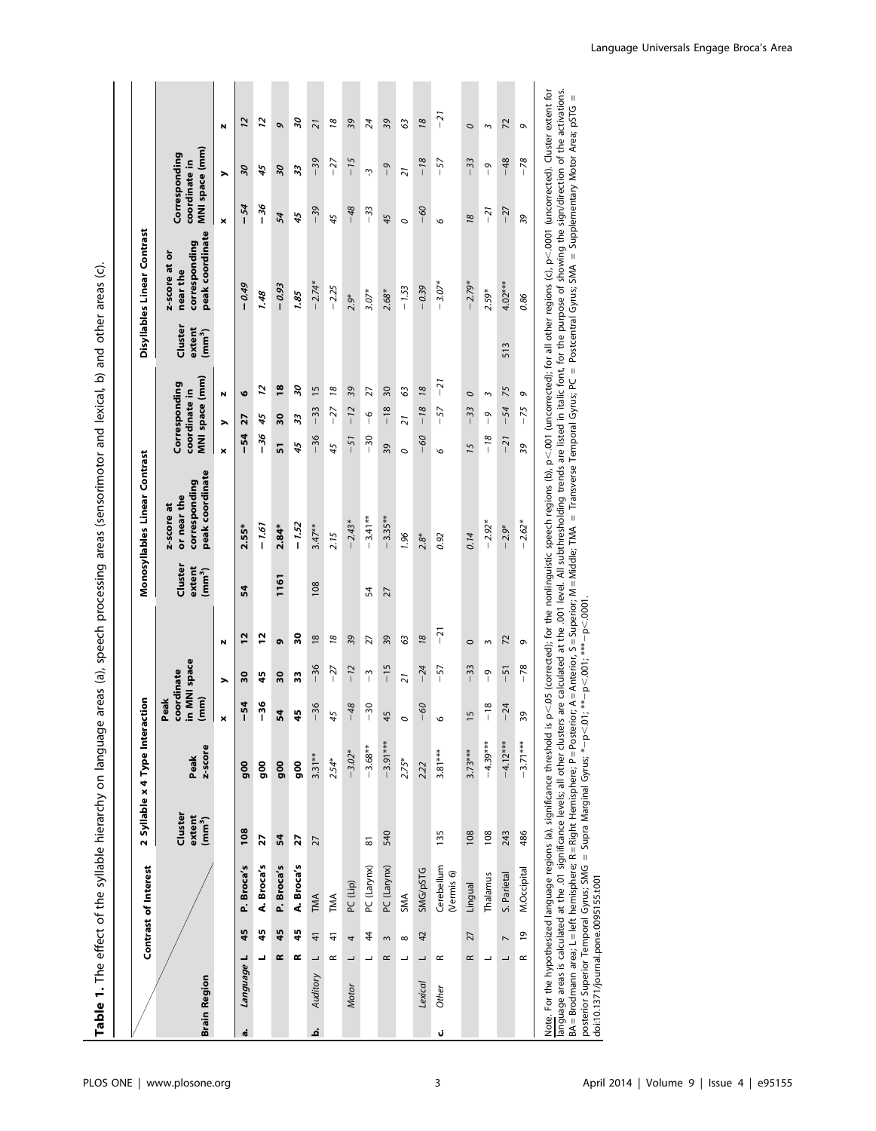Table 1. The effect of the syllable hierarchy on language areas (a), speech processing areas (sensorimotor and lexical, b) and other areas (c). Table 1. The effect of the syllable hierarchy on language areas (a), speech processing areas (sensorimotor and lexical, b) and other areas (c).

|   |                               |                                            | Contrast of Interest                                                                                                                                                                                                                                                                                     |                                         | 2 Syllable x 4 Type Interaction |                                      |                |                 |                                         | Monosyllables Linear Contrast                                                                                                                                                                                                                                                                                                                                                                                                                                                                                                |       |                                                  |                                         | Disyllables Linear Contrast                                   |                |                                                  |                 |
|---|-------------------------------|--------------------------------------------|----------------------------------------------------------------------------------------------------------------------------------------------------------------------------------------------------------------------------------------------------------------------------------------------------------|-----------------------------------------|---------------------------------|--------------------------------------|----------------|-----------------|-----------------------------------------|------------------------------------------------------------------------------------------------------------------------------------------------------------------------------------------------------------------------------------------------------------------------------------------------------------------------------------------------------------------------------------------------------------------------------------------------------------------------------------------------------------------------------|-------|--------------------------------------------------|-----------------------------------------|---------------------------------------------------------------|----------------|--------------------------------------------------|-----------------|
|   | <b>Brain Region</b>           |                                            |                                                                                                                                                                                                                                                                                                          | Cluster<br>extent<br>(mm <sup>3</sup> ) | z-score<br>Peak                 | coordinate<br>$\overline{m}$<br>Peak | in MNI space   |                 | Cluster<br>extent<br>(mm <sup>3</sup> ) | peak coordinate<br>corresponding<br>or near the<br>z-score at                                                                                                                                                                                                                                                                                                                                                                                                                                                                |       | MNI space (mm)<br>Corresponding<br>coordinate in | Cluster<br>extent<br>(mm <sup>3</sup> ) | peak coordinate<br>corresponding<br>z-score at or<br>near the |                | MNI space (mm)<br>Corresponding<br>coordinate in |                 |
|   |                               |                                            |                                                                                                                                                                                                                                                                                                          |                                         |                                 |                                      | ⋋              | N               |                                         |                                                                                                                                                                                                                                                                                                                                                                                                                                                                                                                              | ×     | N<br>⋋                                           |                                         |                                                               | ×              | ⋋                                                | N               |
| đ | <b>T</b> abenbue <sub>1</sub> |                                            | P. Broca's<br>45                                                                                                                                                                                                                                                                                         | 108                                     | <b>90</b>                       | $-54$                                | 30             | 12              | 54                                      | $2.55*$                                                                                                                                                                                                                                                                                                                                                                                                                                                                                                                      | $-54$ | O<br>27                                          |                                         | $-0.49$                                                       | $-54$          | 30                                               | 22              |
|   |                               |                                            | A. Broca's<br>45                                                                                                                                                                                                                                                                                         | 27                                      | 90                              | $\frac{36}{5}$                       | 45             | <b>ZL</b>       |                                         | $-1.61$                                                                                                                                                                                                                                                                                                                                                                                                                                                                                                                      | $-36$ | 2<br>45                                          |                                         | 1.48                                                          | 36             | 45                                               | 2               |
|   |                               | œ                                          | P. Broca's<br>45                                                                                                                                                                                                                                                                                         | 54                                      | 900                             | 54                                   | 30             | Ō               | 1161                                    | $2.84*$                                                                                                                                                                                                                                                                                                                                                                                                                                                                                                                      | 57    | $\frac{8}{2}$<br>30                              |                                         | $-0.93$                                                       | 54             | 30                                               | Ó               |
|   |                               | œ                                          | A. Broca's<br>45                                                                                                                                                                                                                                                                                         | 27                                      | 90Q                             | ŵ                                    | 33             | នី              |                                         | $-1.52$                                                                                                                                                                                                                                                                                                                                                                                                                                                                                                                      | 45    | œ<br>33                                          |                                         | 1.85                                                          | 45             | 33                                               | 30              |
| ف | Auditory                      | $\overline{4}$<br>$\overline{\phantom{0}}$ | TMA                                                                                                                                                                                                                                                                                                      | 27                                      | $3.31**$                        | $-36$                                | $-36$          | $\frac{8}{2}$   | 108                                     | $3.47**$                                                                                                                                                                                                                                                                                                                                                                                                                                                                                                                     | $-36$ | 15<br>$-33$                                      |                                         | $-2.74*$                                                      | $-39$          | $-39$                                            | 21              |
|   |                               | $\frac{4}{1}$<br>$\approx$                 | TMA                                                                                                                                                                                                                                                                                                      |                                         | $2.54*$                         | 45                                   | $-27$          | $\overline{18}$ |                                         | 2.15                                                                                                                                                                                                                                                                                                                                                                                                                                                                                                                         | 45    | 18<br>$-27$                                      |                                         | $-2.25$                                                       | 45             | $-27$                                            | $\overline{18}$ |
|   | Motor                         | 4                                          | PC (Lip)                                                                                                                                                                                                                                                                                                 |                                         | $-3.02*$                        | $-48$                                | $-12$          | 39              |                                         | $-2.43*$                                                                                                                                                                                                                                                                                                                                                                                                                                                                                                                     | $-51$ | 39<br>$-12$                                      |                                         | $2.9*$                                                        | $-48$          | $-15$                                            | 39              |
|   |                               | $\overline{4}$                             | PC (Larynx)                                                                                                                                                                                                                                                                                              | $\overline{8}$                          | $-3.68**$                       | $\overline{30}$                      | $\overline{1}$ | 27              | 24                                      | $-3.41**$                                                                                                                                                                                                                                                                                                                                                                                                                                                                                                                    | $-30$ | 27<br>$\frac{6}{1}$                              |                                         | $3.07*$                                                       | $-33$          | ņ                                                | 24              |
|   |                               | $\mathsf{S}$<br>$\simeq$                   | PC (Larynx)                                                                                                                                                                                                                                                                                              | 540                                     | $-3.91***$                      | 45                                   | $-15$          | 39              | 27                                      | $-3.35**$                                                                                                                                                                                                                                                                                                                                                                                                                                                                                                                    | 39    | 30<br>$-18$                                      |                                         | $2.68*$                                                       | 45             | $-\circ$                                         | 39              |
|   |                               | $\infty$                                   | SMA                                                                                                                                                                                                                                                                                                      |                                         | $2.75*$                         |                                      | $\overline{z}$ | 3               |                                         | 1.96                                                                                                                                                                                                                                                                                                                                                                                                                                                                                                                         | O     | 3<br>្ត                                          |                                         | $-1.53$                                                       | $\circ$        | $\overline{z}$                                   | 63              |
|   | Lexical                       | 42<br>┙                                    | SMG/pSTG                                                                                                                                                                                                                                                                                                 |                                         | 2.22                            | $-60$                                | $-24$          | $\overline{18}$ |                                         | $2.8*$                                                                                                                                                                                                                                                                                                                                                                                                                                                                                                                       | $-60$ | $\overline{18}$<br>$-18$                         |                                         | $-0.39$                                                       | $-60$          | $-18$                                            | 18              |
| ن | Other                         | $\approx$                                  | Cerebellum<br>(Vermis 6)                                                                                                                                                                                                                                                                                 | 135                                     | $3.81***$                       |                                      | $-57$          | $\overline{2}$  |                                         | 0.92                                                                                                                                                                                                                                                                                                                                                                                                                                                                                                                         | 9     | -21<br>$-57$                                     |                                         | $-3.07*$                                                      | 9              | -57                                              | $-21$           |
|   |                               | 27<br>$\approx$                            | Lingual                                                                                                                                                                                                                                                                                                  | 108                                     | $3.73***$                       | 5                                    | $-33$          | $\circ$         |                                         | 0.14                                                                                                                                                                                                                                                                                                                                                                                                                                                                                                                         | 75    | $\circ$<br>$-33$                                 |                                         | $-2.79*$                                                      | $\overline{8}$ | $-33$                                            | $\circ$         |
|   |                               | ┙                                          | Thalamus                                                                                                                                                                                                                                                                                                 | 108                                     | $-4.39***$                      | $-18$                                | $\overline{0}$ | $\sim$          |                                         | $-2.92*$                                                                                                                                                                                                                                                                                                                                                                                                                                                                                                                     | $-18$ | $\sim$<br>$\overline{0}$                         |                                         | $2.59*$                                                       | $-21$          | e<br>I                                           | $\sim$          |
|   |                               | $\overline{ }$<br>┙                        | S. Parietal                                                                                                                                                                                                                                                                                              | 243                                     | $-4.12***$                      | $-24$                                | $-5$           | 72              |                                         | $-2.9*$                                                                                                                                                                                                                                                                                                                                                                                                                                                                                                                      | $-21$ | 75<br>$-54$                                      | 513                                     | $4.02***$                                                     | $-27$          | $-48$                                            | 72              |
|   |                               | $\approx$                                  | <b>M.Occipital</b><br>$\overline{6}$                                                                                                                                                                                                                                                                     | 486                                     | $-3.71***$                      | 39                                   | $-78$          | G               |                                         | $-2.62*$                                                                                                                                                                                                                                                                                                                                                                                                                                                                                                                     | 39    | e<br>$-75$                                       |                                         | 0.86                                                          | 39             | $-78$                                            | Ó               |
|   |                               |                                            | posterior Superior Temporal Gyrus; SMG = Supra Marginal Gyrus; *-p<.01; ***-p<.001; ***-p<.001.<br>anguage areas is calculated at the .01 significance levels; all other clusters<br>Note. For the hypothesized language regions (a), significance threshold is<br>doi:10.1371/journal.pone.0095155.t001 |                                         |                                 |                                      |                |                 |                                         | are calculated at the 001 level. All subthresholding trends are listed in italic fort, for the purpose of showing the sign/direction of the activations.<br>p<.05 (corrected); for the nonlinguistic speech regions (b), p<.001 (uncorrected); for all other regions (c), p<.0001 (uncorrected). Cluster extent for<br>BA=Brodmann area; L=left hemisphere; R=Right Hemisphere; P=Posterior; A=Anterior; A=Superior; M=Middle; TMA = Transverse Temporal Gyrus; PC = Postcentral Gyrus; SMA = Supplementary Motor Area; pSTG |       |                                                  |                                         |                                                               |                |                                                  | $\parallel$     |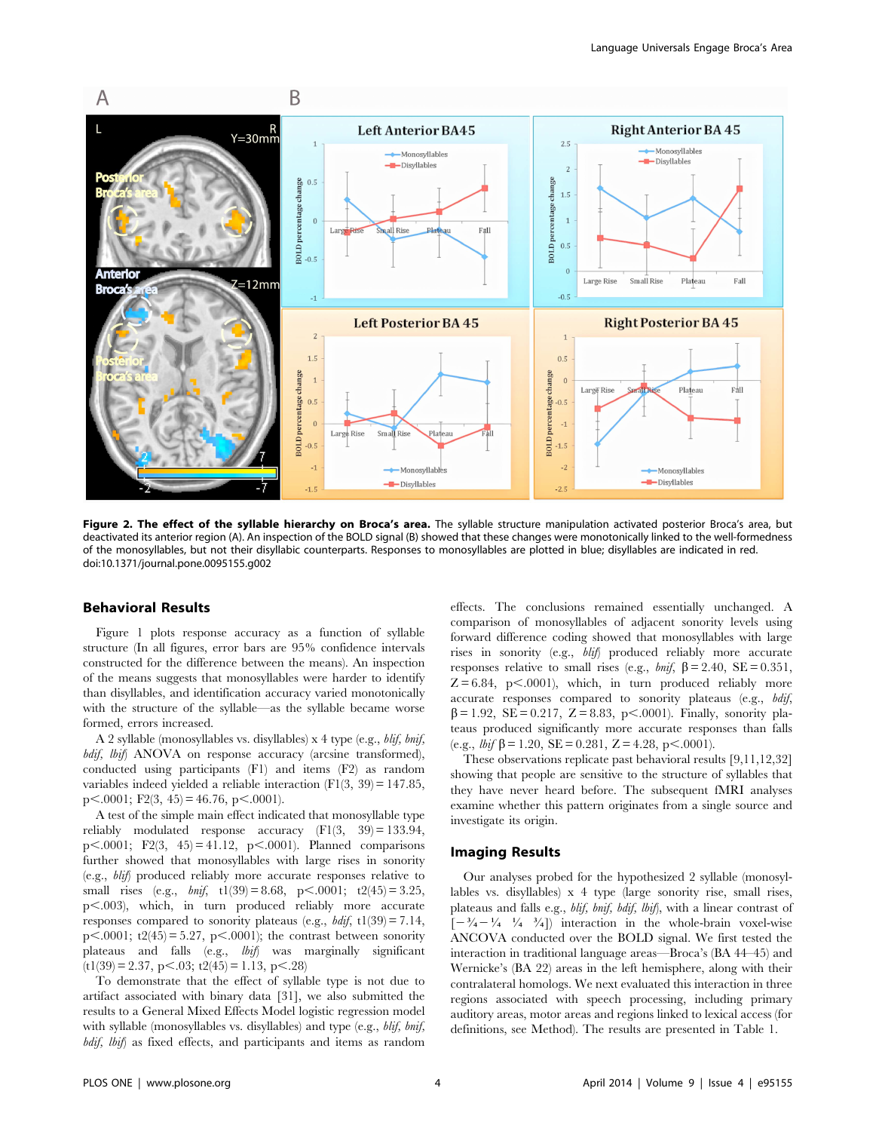

Figure 2. The effect of the syllable hierarchy on Broca's area. The syllable structure manipulation activated posterior Broca's area, but deactivated its anterior region (A). An inspection of the BOLD signal (B) showed that these changes were monotonically linked to the well-formedness of the monosyllables, but not their disyllabic counterparts. Responses to monosyllables are plotted in blue; disyllables are indicated in red. doi:10.1371/journal.pone.0095155.g002

#### Behavioral Results

Figure 1 plots response accuracy as a function of syllable structure (In all figures, error bars are 95% confidence intervals constructed for the difference between the means). An inspection of the means suggests that monosyllables were harder to identify than disyllables, and identification accuracy varied monotonically with the structure of the syllable—as the syllable became worse formed, errors increased.

A 2 syllable (monosyllables vs. disyllables) x 4 type (e.g., blif, bnif, bdif, lbif) ANOVA on response accuracy (arcsine transformed), conducted using participants (F1) and items (F2) as random variables indeed yielded a reliable interaction  $(F1(3, 39) = 147.85$ ,  $p<.0001$ ; F2(3, 45) = 46.76, p $<.0001$ ).

A test of the simple main effect indicated that monosyllable type reliably modulated response accuracy (F1(3, 39) = 133.94, p $<.0001$ ; F2(3, 45) = 41.12, p $<.0001$ . Planned comparisons further showed that monosyllables with large rises in sonority (e.g., blif) produced reliably more accurate responses relative to small rises (e.g., *bnif*,  $t1(39) = 8.68$ ,  $p < .0001$ ;  $t2(45) = 3.25$ ,  $p<.003$ ), which, in turn produced reliably more accurate responses compared to sonority plateaus (e.g.,  $\frac{bdif}{f}$ , t1(39) = 7.14, p $\leq$ .0001; t2(45) = 5.27, p $\leq$ .0001); the contrast between sonority plateaus and falls (e.g., lbif) was marginally significant  $(t1(39) = 2.37, p<.03; t2(45) = 1.13, p<.28)$ 

To demonstrate that the effect of syllable type is not due to artifact associated with binary data [31], we also submitted the results to a General Mixed Effects Model logistic regression model with syllable (monosyllables vs. disyllables) and type (e.g., blif, bnif, bdif, lbif) as fixed effects, and participants and items as random effects. The conclusions remained essentially unchanged. A comparison of monosyllables of adjacent sonority levels using forward difference coding showed that monosyllables with large rises in sonority (e.g., blif) produced reliably more accurate responses relative to small rises (e.g., bnif,  $\beta$  = 2.40, SE = 0.351,  $Z = 6.84$ , p<.0001), which, in turn produced reliably more accurate responses compared to sonority plateaus (e.g., bdif,  $\beta = 1.92$ , SE = 0.217, Z = 8.83, p<.0001). Finally, sonority plateaus produced significantly more accurate responses than falls (e.g.,  $lbif \beta = 1.20$ , SE = 0.281, Z = 4.28, p<.0001).

These observations replicate past behavioral results [9,11,12,32] showing that people are sensitive to the structure of syllables that they have never heard before. The subsequent fMRI analyses examine whether this pattern originates from a single source and investigate its origin.

#### Imaging Results

Our analyses probed for the hypothesized 2 syllable (monosyllables vs. disyllables) x 4 type (large sonority rise, small rises, plateaus and falls e.g., blif, bnif, bdif, lbif), with a linear contrast of  $[-\frac{3}{4}-\frac{1}{4}+\frac{1}{4}\frac{3}{4}]$  interaction in the whole-brain voxel-wise ANCOVA conducted over the BOLD signal. We first tested the interaction in traditional language areas—Broca's (BA 44–45) and Wernicke's (BA 22) areas in the left hemisphere, along with their contralateral homologs. We next evaluated this interaction in three regions associated with speech processing, including primary auditory areas, motor areas and regions linked to lexical access (for definitions, see Method). The results are presented in Table 1.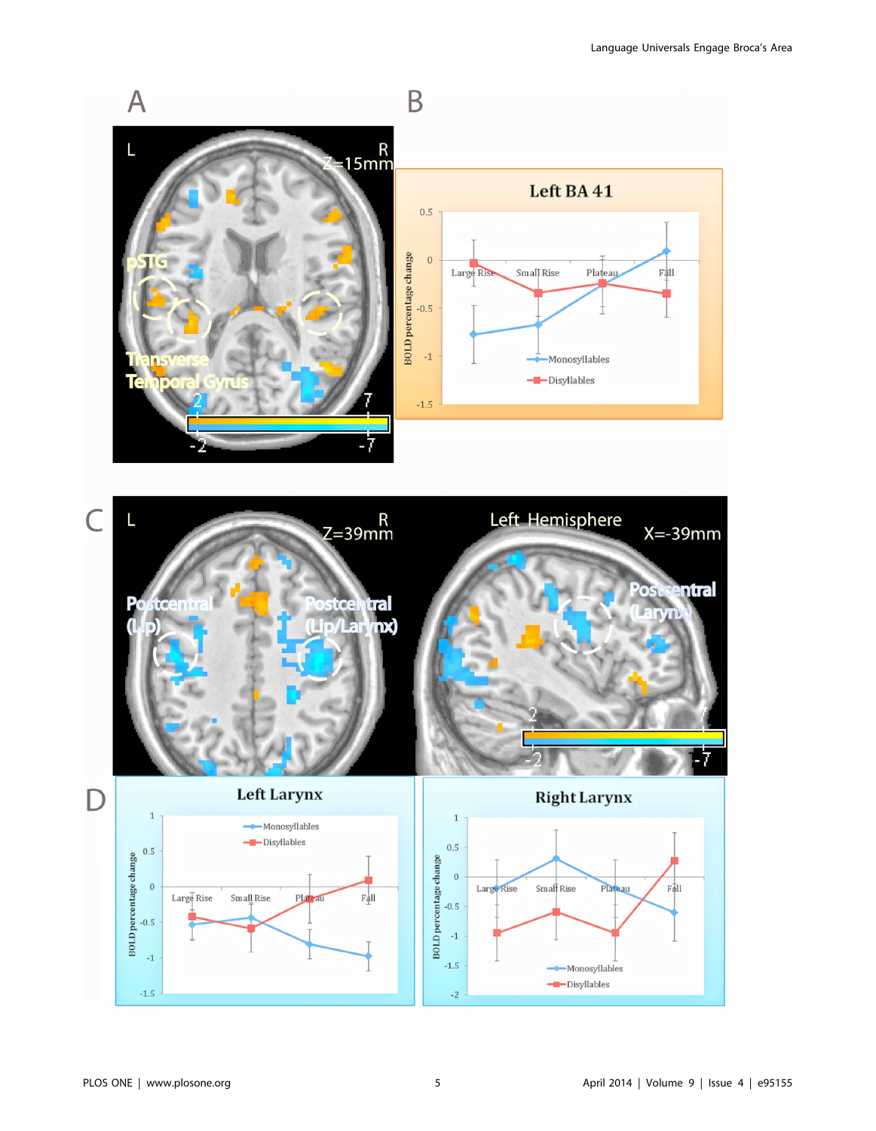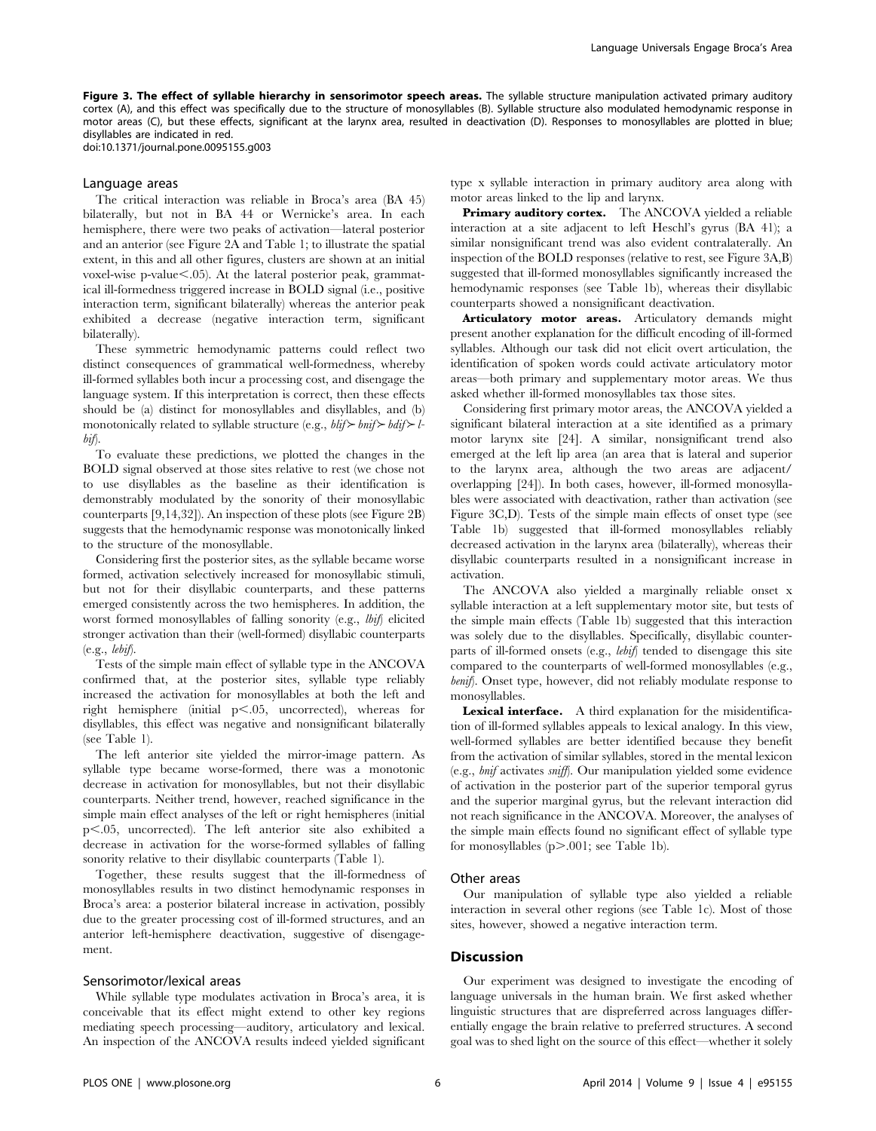Figure 3. The effect of syllable hierarchy in sensorimotor speech areas. The syllable structure manipulation activated primary auditory cortex (A), and this effect was specifically due to the structure of monosyllables (B). Syllable structure also modulated hemodynamic response in motor areas (C), but these effects, significant at the larynx area, resulted in deactivation (D). Responses to monosyllables are plotted in blue; disyllables are indicated in red. doi:10.1371/journal.pone.0095155.g003

## Language areas

The critical interaction was reliable in Broca's area (BA 45) bilaterally, but not in BA 44 or Wernicke's area. In each hemisphere, there were two peaks of activation—lateral posterior and an anterior (see Figure 2A and Table 1; to illustrate the spatial extent, in this and all other figures, clusters are shown at an initial voxel-wise p-value $<$ .05). At the lateral posterior peak, grammatical ill-formedness triggered increase in BOLD signal (i.e., positive interaction term, significant bilaterally) whereas the anterior peak exhibited a decrease (negative interaction term, significant bilaterally).

These symmetric hemodynamic patterns could reflect two distinct consequences of grammatical well-formedness, whereby ill-formed syllables both incur a processing cost, and disengage the language system. If this interpretation is correct, then these effects should be (a) distinct for monosyllables and disyllables, and (b) monotonically related to syllable structure (e.g.,  $\frac{b}{d}$  bnif  $\frac{b}{d}$  bdif  $\frac{b}{d}$  lbif).

To evaluate these predictions, we plotted the changes in the BOLD signal observed at those sites relative to rest (we chose not to use disyllables as the baseline as their identification is demonstrably modulated by the sonority of their monosyllabic counterparts [9,14,32]). An inspection of these plots (see Figure 2B) suggests that the hemodynamic response was monotonically linked to the structure of the monosyllable.

Considering first the posterior sites, as the syllable became worse formed, activation selectively increased for monosyllabic stimuli, but not for their disyllabic counterparts, and these patterns emerged consistently across the two hemispheres. In addition, the worst formed monosyllables of falling sonority (e.g., *lbif*) elicited stronger activation than their (well-formed) disyllabic counterparts (e.g., lebif).

Tests of the simple main effect of syllable type in the ANCOVA confirmed that, at the posterior sites, syllable type reliably increased the activation for monosyllables at both the left and right hemisphere (initial  $p<.05$ , uncorrected), whereas for disyllables, this effect was negative and nonsignificant bilaterally (see Table 1).

The left anterior site yielded the mirror-image pattern. As syllable type became worse-formed, there was a monotonic decrease in activation for monosyllables, but not their disyllabic counterparts. Neither trend, however, reached significance in the simple main effect analyses of the left or right hemispheres (initial  $p<.05$ , uncorrected). The left anterior site also exhibited a decrease in activation for the worse-formed syllables of falling sonority relative to their disyllabic counterparts (Table 1).

Together, these results suggest that the ill-formedness of monosyllables results in two distinct hemodynamic responses in Broca's area: a posterior bilateral increase in activation, possibly due to the greater processing cost of ill-formed structures, and an anterior left-hemisphere deactivation, suggestive of disengagement.

#### Sensorimotor/lexical areas

While syllable type modulates activation in Broca's area, it is conceivable that its effect might extend to other key regions mediating speech processing—auditory, articulatory and lexical. An inspection of the ANCOVA results indeed yielded significant type x syllable interaction in primary auditory area along with motor areas linked to the lip and larynx.

Primary auditory cortex. The ANCOVA yielded a reliable interaction at a site adjacent to left Heschl's gyrus (BA 41); a similar nonsignificant trend was also evident contralaterally. An inspection of the BOLD responses (relative to rest, see Figure 3A,B) suggested that ill-formed monosyllables significantly increased the hemodynamic responses (see Table 1b), whereas their disyllabic counterparts showed a nonsignificant deactivation.

Articulatory motor areas. Articulatory demands might present another explanation for the difficult encoding of ill-formed syllables. Although our task did not elicit overt articulation, the identification of spoken words could activate articulatory motor areas—both primary and supplementary motor areas. We thus asked whether ill-formed monosyllables tax those sites.

Considering first primary motor areas, the ANCOVA yielded a significant bilateral interaction at a site identified as a primary motor larynx site [24]. A similar, nonsignificant trend also emerged at the left lip area (an area that is lateral and superior to the larynx area, although the two areas are adjacent/ overlapping [24]). In both cases, however, ill-formed monosyllables were associated with deactivation, rather than activation (see Figure 3C,D). Tests of the simple main effects of onset type (see Table 1b) suggested that ill-formed monosyllables reliably decreased activation in the larynx area (bilaterally), whereas their disyllabic counterparts resulted in a nonsignificant increase in activation.

The ANCOVA also yielded a marginally reliable onset x syllable interaction at a left supplementary motor site, but tests of the simple main effects (Table 1b) suggested that this interaction was solely due to the disyllables. Specifically, disyllabic counterparts of ill-formed onsets (e.g., lebif) tended to disengage this site compared to the counterparts of well-formed monosyllables (e.g., benif). Onset type, however, did not reliably modulate response to monosyllables.

Lexical interface. A third explanation for the misidentification of ill-formed syllables appeals to lexical analogy. In this view, well-formed syllables are better identified because they benefit from the activation of similar syllables, stored in the mental lexicon (e.g., bnif activates sniff). Our manipulation yielded some evidence of activation in the posterior part of the superior temporal gyrus and the superior marginal gyrus, but the relevant interaction did not reach significance in the ANCOVA. Moreover, the analyses of the simple main effects found no significant effect of syllable type for monosyllables  $(p>0.01)$ ; see Table 1b).

#### Other areas

Our manipulation of syllable type also yielded a reliable interaction in several other regions (see Table 1c). Most of those sites, however, showed a negative interaction term.

#### Discussion

Our experiment was designed to investigate the encoding of language universals in the human brain. We first asked whether linguistic structures that are dispreferred across languages differentially engage the brain relative to preferred structures. A second goal was to shed light on the source of this effect—whether it solely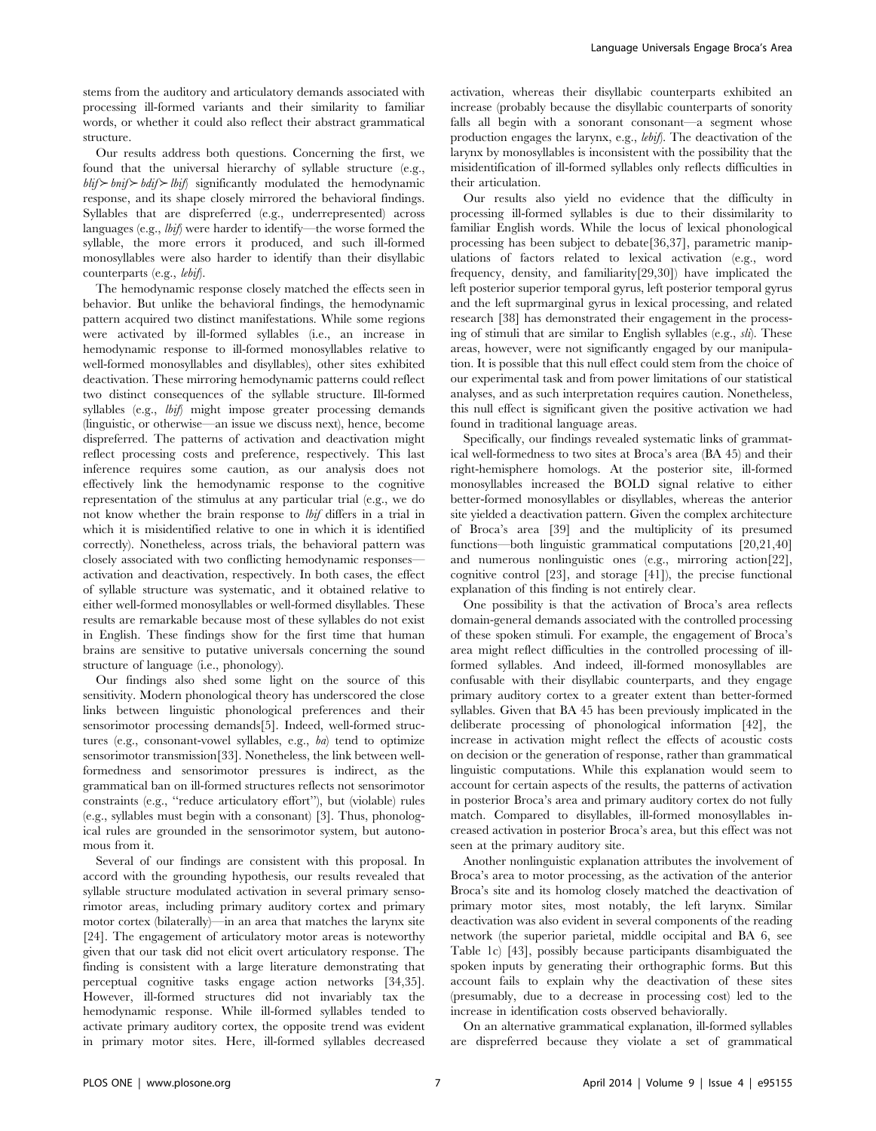stems from the auditory and articulatory demands associated with processing ill-formed variants and their similarity to familiar words, or whether it could also reflect their abstract grammatical structure.

Our results address both questions. Concerning the first, we found that the universal hierarchy of syllable structure (e.g.,  $b$ lif  $>b$ nif  $>b$ dif  $>b$ lif) significantly modulated the hemodynamic response, and its shape closely mirrored the behavioral findings. Syllables that are dispreferred (e.g., underrepresented) across languages (e.g., lbif) were harder to identify—the worse formed the syllable, the more errors it produced, and such ill-formed monosyllables were also harder to identify than their disyllabic counterparts (e.g., lebif).

The hemodynamic response closely matched the effects seen in behavior. But unlike the behavioral findings, the hemodynamic pattern acquired two distinct manifestations. While some regions were activated by ill-formed syllables (i.e., an increase in hemodynamic response to ill-formed monosyllables relative to well-formed monosyllables and disyllables), other sites exhibited deactivation. These mirroring hemodynamic patterns could reflect two distinct consequences of the syllable structure. Ill-formed syllables (e.g., lbif) might impose greater processing demands (linguistic, or otherwise—an issue we discuss next), hence, become dispreferred. The patterns of activation and deactivation might reflect processing costs and preference, respectively. This last inference requires some caution, as our analysis does not effectively link the hemodynamic response to the cognitive representation of the stimulus at any particular trial (e.g., we do not know whether the brain response to lbif differs in a trial in which it is misidentified relative to one in which it is identified correctly). Nonetheless, across trials, the behavioral pattern was closely associated with two conflicting hemodynamic responses activation and deactivation, respectively. In both cases, the effect of syllable structure was systematic, and it obtained relative to either well-formed monosyllables or well-formed disyllables. These results are remarkable because most of these syllables do not exist in English. These findings show for the first time that human brains are sensitive to putative universals concerning the sound structure of language (i.e., phonology).

Our findings also shed some light on the source of this sensitivity. Modern phonological theory has underscored the close links between linguistic phonological preferences and their sensorimotor processing demands[5]. Indeed, well-formed structures (e.g., consonant-vowel syllables, e.g., ba) tend to optimize sensorimotor transmission[33]. Nonetheless, the link between wellformedness and sensorimotor pressures is indirect, as the grammatical ban on ill-formed structures reflects not sensorimotor constraints (e.g., ''reduce articulatory effort''), but (violable) rules (e.g., syllables must begin with a consonant) [3]. Thus, phonological rules are grounded in the sensorimotor system, but autonomous from it.

Several of our findings are consistent with this proposal. In accord with the grounding hypothesis, our results revealed that syllable structure modulated activation in several primary sensorimotor areas, including primary auditory cortex and primary motor cortex (bilaterally)—in an area that matches the larynx site [24]. The engagement of articulatory motor areas is noteworthy given that our task did not elicit overt articulatory response. The finding is consistent with a large literature demonstrating that perceptual cognitive tasks engage action networks [34,35]. However, ill-formed structures did not invariably tax the hemodynamic response. While ill-formed syllables tended to activate primary auditory cortex, the opposite trend was evident in primary motor sites. Here, ill-formed syllables decreased activation, whereas their disyllabic counterparts exhibited an increase (probably because the disyllabic counterparts of sonority falls all begin with a sonorant consonant—a segment whose production engages the larynx, e.g., lebif). The deactivation of the larynx by monosyllables is inconsistent with the possibility that the misidentification of ill-formed syllables only reflects difficulties in their articulation.

Our results also yield no evidence that the difficulty in processing ill-formed syllables is due to their dissimilarity to familiar English words. While the locus of lexical phonological processing has been subject to debate[36,37], parametric manipulations of factors related to lexical activation (e.g., word frequency, density, and familiarity[29,30]) have implicated the left posterior superior temporal gyrus, left posterior temporal gyrus and the left suprmarginal gyrus in lexical processing, and related research [38] has demonstrated their engagement in the processing of stimuli that are similar to English syllables (e.g.,  $\mathfrak{sl}$ ). These areas, however, were not significantly engaged by our manipulation. It is possible that this null effect could stem from the choice of our experimental task and from power limitations of our statistical analyses, and as such interpretation requires caution. Nonetheless, this null effect is significant given the positive activation we had found in traditional language areas.

Specifically, our findings revealed systematic links of grammatical well-formedness to two sites at Broca's area (BA 45) and their right-hemisphere homologs. At the posterior site, ill-formed monosyllables increased the BOLD signal relative to either better-formed monosyllables or disyllables, whereas the anterior site yielded a deactivation pattern. Given the complex architecture of Broca's area [39] and the multiplicity of its presumed functions—both linguistic grammatical computations [20,21,40] and numerous nonlinguistic ones (e.g., mirroring action[22], cognitive control [23], and storage [41]), the precise functional explanation of this finding is not entirely clear.

One possibility is that the activation of Broca's area reflects domain-general demands associated with the controlled processing of these spoken stimuli. For example, the engagement of Broca's area might reflect difficulties in the controlled processing of illformed syllables. And indeed, ill-formed monosyllables are confusable with their disyllabic counterparts, and they engage primary auditory cortex to a greater extent than better-formed syllables. Given that BA 45 has been previously implicated in the deliberate processing of phonological information [42], the increase in activation might reflect the effects of acoustic costs on decision or the generation of response, rather than grammatical linguistic computations. While this explanation would seem to account for certain aspects of the results, the patterns of activation in posterior Broca's area and primary auditory cortex do not fully match. Compared to disyllables, ill-formed monosyllables increased activation in posterior Broca's area, but this effect was not seen at the primary auditory site.

Another nonlinguistic explanation attributes the involvement of Broca's area to motor processing, as the activation of the anterior Broca's site and its homolog closely matched the deactivation of primary motor sites, most notably, the left larynx. Similar deactivation was also evident in several components of the reading network (the superior parietal, middle occipital and BA 6, see Table 1c) [43], possibly because participants disambiguated the spoken inputs by generating their orthographic forms. But this account fails to explain why the deactivation of these sites (presumably, due to a decrease in processing cost) led to the increase in identification costs observed behaviorally.

On an alternative grammatical explanation, ill-formed syllables are dispreferred because they violate a set of grammatical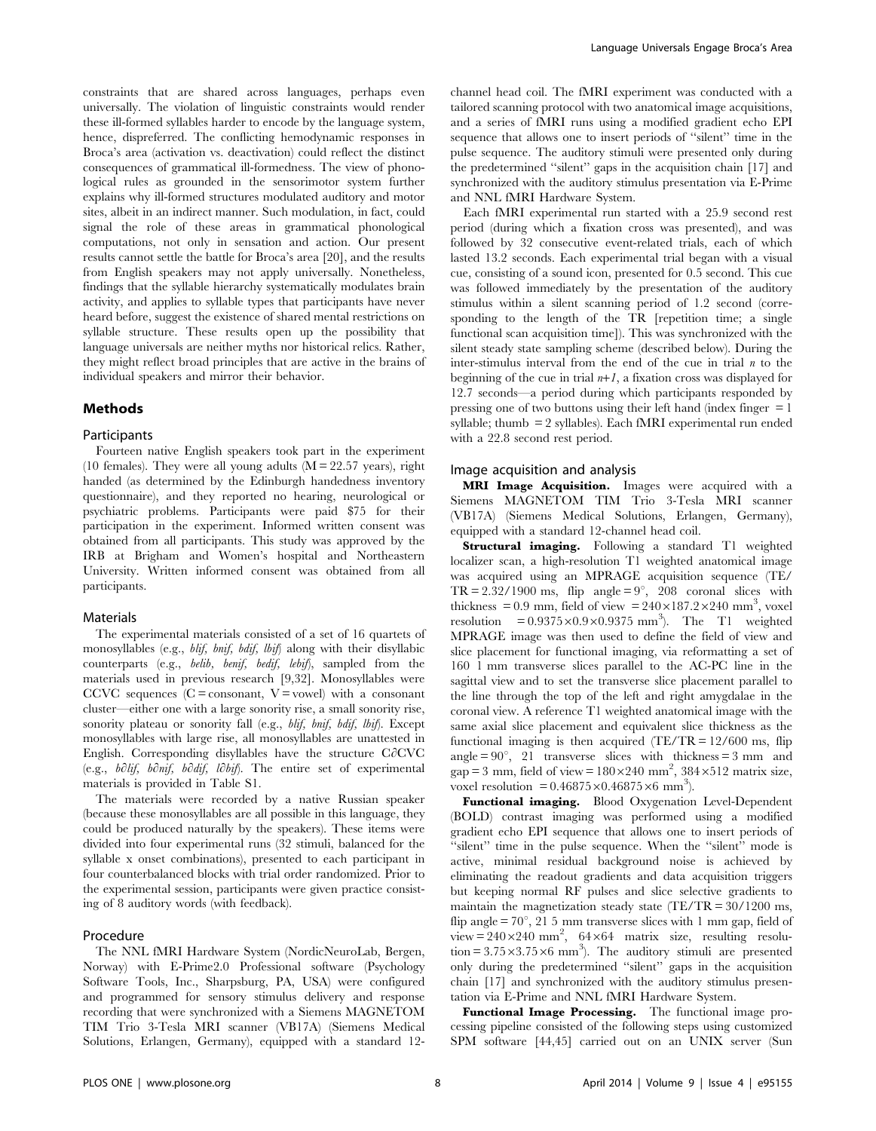constraints that are shared across languages, perhaps even universally. The violation of linguistic constraints would render these ill-formed syllables harder to encode by the language system, hence, dispreferred. The conflicting hemodynamic responses in Broca's area (activation vs. deactivation) could reflect the distinct consequences of grammatical ill-formedness. The view of phonological rules as grounded in the sensorimotor system further explains why ill-formed structures modulated auditory and motor sites, albeit in an indirect manner. Such modulation, in fact, could signal the role of these areas in grammatical phonological computations, not only in sensation and action. Our present results cannot settle the battle for Broca's area [20], and the results from English speakers may not apply universally. Nonetheless, findings that the syllable hierarchy systematically modulates brain activity, and applies to syllable types that participants have never heard before, suggest the existence of shared mental restrictions on syllable structure. These results open up the possibility that language universals are neither myths nor historical relics. Rather, they might reflect broad principles that are active in the brains of individual speakers and mirror their behavior.

#### Methods

#### Participants

Fourteen native English speakers took part in the experiment (10 females). They were all young adults  $(M = 22.57$  years), right handed (as determined by the Edinburgh handedness inventory questionnaire), and they reported no hearing, neurological or psychiatric problems. Participants were paid \$75 for their participation in the experiment. Informed written consent was obtained from all participants. This study was approved by the IRB at Brigham and Women's hospital and Northeastern University. Written informed consent was obtained from all participants.

#### Materials

The experimental materials consisted of a set of 16 quartets of monosyllables (e.g., blif, bnif, bdif, lbif) along with their disyllabic counterparts (e.g., belib, benif, bedif, lebif), sampled from the materials used in previous research [9,32]. Monosyllables were CCVC sequences  $(C = \text{consonant}, V = \text{vowel})$  with a consonant cluster—either one with a large sonority rise, a small sonority rise, sonority plateau or sonority fall (e.g., blif, bnif, bdif, lbif). Except monosyllables with large rise, all monosyllables are unattested in English. Corresponding disyllables have the structure  $C\partial C$ VC (e.g.,  $b\partial l$ if,  $b\partial n$ if,  $b\partial d$ if, l $\partial b$ if). The entire set of experimental materials is provided in Table S1.

The materials were recorded by a native Russian speaker (because these monosyllables are all possible in this language, they could be produced naturally by the speakers). These items were divided into four experimental runs (32 stimuli, balanced for the syllable x onset combinations), presented to each participant in four counterbalanced blocks with trial order randomized. Prior to the experimental session, participants were given practice consisting of 8 auditory words (with feedback).

#### Procedure

The NNL fMRI Hardware System (NordicNeuroLab, Bergen, Norway) with E-Prime2.0 Professional software (Psychology Software Tools, Inc., Sharpsburg, PA, USA) were configured and programmed for sensory stimulus delivery and response recording that were synchronized with a Siemens MAGNETOM TIM Trio 3-Tesla MRI scanner (VB17A) (Siemens Medical Solutions, Erlangen, Germany), equipped with a standard 12channel head coil. The fMRI experiment was conducted with a tailored scanning protocol with two anatomical image acquisitions, and a series of fMRI runs using a modified gradient echo EPI sequence that allows one to insert periods of ''silent'' time in the pulse sequence. The auditory stimuli were presented only during the predetermined ''silent'' gaps in the acquisition chain [17] and synchronized with the auditory stimulus presentation via E-Prime and NNL fMRI Hardware System.

Each fMRI experimental run started with a 25.9 second rest period (during which a fixation cross was presented), and was followed by 32 consecutive event-related trials, each of which lasted 13.2 seconds. Each experimental trial began with a visual cue, consisting of a sound icon, presented for 0.5 second. This cue was followed immediately by the presentation of the auditory stimulus within a silent scanning period of 1.2 second (corresponding to the length of the TR [repetition time; a single functional scan acquisition time]). This was synchronized with the silent steady state sampling scheme (described below). During the inter-stimulus interval from the end of the cue in trial  $n$  to the beginning of the cue in trial  $n+1$ , a fixation cross was displayed for 12.7 seconds—a period during which participants responded by pressing one of two buttons using their left hand (index finger  $= 1$ ) syllable; thumb = 2 syllables). Each fMRI experimental run ended with a 22.8 second rest period.

#### Image acquisition and analysis

MRI Image Acquisition. Images were acquired with a Siemens MAGNETOM TIM Trio 3-Tesla MRI scanner (VB17A) (Siemens Medical Solutions, Erlangen, Germany), equipped with a standard 12-channel head coil.

Structural imaging. Following a standard T1 weighted localizer scan, a high-resolution T1 weighted anatomical image was acquired using an MPRAGE acquisition sequence (TE/ TR = 2.32/1900 ms, flip angle =  $9^{\circ}$ , 208 coronal slices with thickness = 0.9 mm, field of view =  $240\times187.2\times240$  mm<sup>3</sup>, voxel resolution =  $0.9375 \times 0.9 \times 0.9375$  mm<sup>3</sup>). The T1 weighted MPRAGE image was then used to define the field of view and slice placement for functional imaging, via reformatting a set of 160 1 mm transverse slices parallel to the AC-PC line in the sagittal view and to set the transverse slice placement parallel to the line through the top of the left and right amygdalae in the coronal view. A reference T1 weighted anatomical image with the same axial slice placement and equivalent slice thickness as the functional imaging is then acquired  $(TE/TR = 12/600 \text{ ms}, \text{ flip})$ angle =  $90^{\circ}$ , 21 transverse slices with thickness = 3 mm and  $gap = 3$  mm, field of view =  $180 \times 240$  mm<sup>2</sup>,  $384 \times 512$  matrix size, voxel resolution =  $0.46875 \times 0.46875 \times 6$  mm<sup>3</sup>).

Functional imaging. Blood Oxygenation Level-Dependent (BOLD) contrast imaging was performed using a modified gradient echo EPI sequence that allows one to insert periods of "silent" time in the pulse sequence. When the "silent" mode is active, minimal residual background noise is achieved by eliminating the readout gradients and data acquisition triggers but keeping normal RF pulses and slice selective gradients to maintain the magnetization steady state (TE/TR = 30/1200 ms, flip angle =  $70^{\circ}$ , 21 5 mm transverse slices with 1 mm gap, field of view =  $240 \times 240$  mm<sup>2</sup>, 64 $\times$ 64 matrix size, resulting resolution =  $3.75 \times 3.75 \times 6$  mm<sup>3</sup>). The auditory stimuli are presented only during the predetermined ''silent'' gaps in the acquisition chain [17] and synchronized with the auditory stimulus presentation via E-Prime and NNL fMRI Hardware System.

Functional Image Processing. The functional image processing pipeline consisted of the following steps using customized SPM software [44,45] carried out on an UNIX server (Sun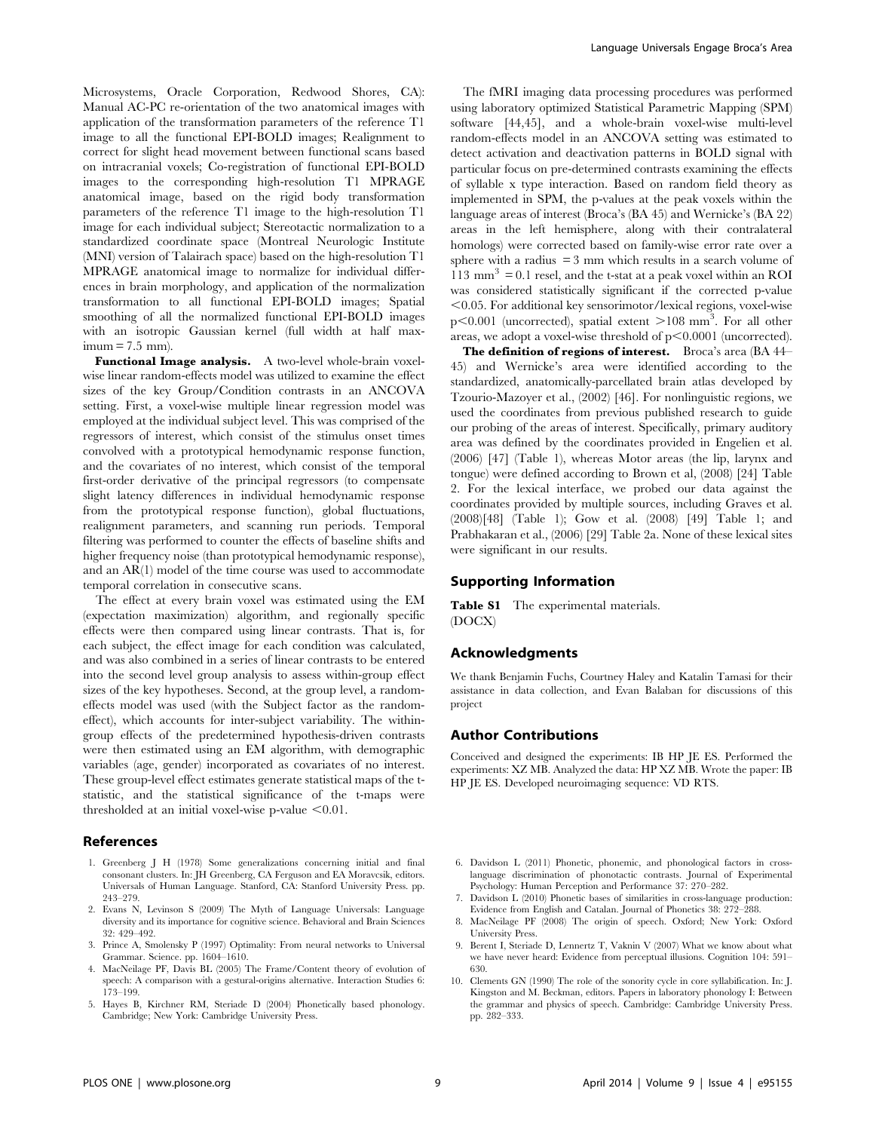Microsystems, Oracle Corporation, Redwood Shores, CA): Manual AC-PC re-orientation of the two anatomical images with application of the transformation parameters of the reference T1 image to all the functional EPI-BOLD images; Realignment to correct for slight head movement between functional scans based on intracranial voxels; Co-registration of functional EPI-BOLD images to the corresponding high-resolution T1 MPRAGE anatomical image, based on the rigid body transformation parameters of the reference T1 image to the high-resolution T1 image for each individual subject; Stereotactic normalization to a standardized coordinate space (Montreal Neurologic Institute (MNI) version of Talairach space) based on the high-resolution T1 MPRAGE anatomical image to normalize for individual differences in brain morphology, and application of the normalization transformation to all functional EPI-BOLD images; Spatial smoothing of all the normalized functional EPI-BOLD images with an isotropic Gaussian kernel (full width at half max $imum = 7.5 mm$ ).

Functional Image analysis. A two-level whole-brain voxelwise linear random-effects model was utilized to examine the effect sizes of the key Group/Condition contrasts in an ANCOVA setting. First, a voxel-wise multiple linear regression model was employed at the individual subject level. This was comprised of the regressors of interest, which consist of the stimulus onset times convolved with a prototypical hemodynamic response function, and the covariates of no interest, which consist of the temporal first-order derivative of the principal regressors (to compensate slight latency differences in individual hemodynamic response from the prototypical response function), global fluctuations, realignment parameters, and scanning run periods. Temporal filtering was performed to counter the effects of baseline shifts and higher frequency noise (than prototypical hemodynamic response), and an AR(1) model of the time course was used to accommodate temporal correlation in consecutive scans.

The effect at every brain voxel was estimated using the EM (expectation maximization) algorithm, and regionally specific effects were then compared using linear contrasts. That is, for each subject, the effect image for each condition was calculated, and was also combined in a series of linear contrasts to be entered into the second level group analysis to assess within-group effect sizes of the key hypotheses. Second, at the group level, a randomeffects model was used (with the Subject factor as the randomeffect), which accounts for inter-subject variability. The withingroup effects of the predetermined hypothesis-driven contrasts were then estimated using an EM algorithm, with demographic variables (age, gender) incorporated as covariates of no interest. These group-level effect estimates generate statistical maps of the tstatistic, and the statistical significance of the t-maps were thresholded at an initial voxel-wise p-value  $< 0.01$ .

#### References

- 1. Greenberg J H (1978) Some generalizations concerning initial and final consonant clusters. In: JH Greenberg, CA Ferguson and EA Moravcsik, editors. Universals of Human Language. Stanford, CA: Stanford University Press. pp. 243–279.
- 2. Evans N, Levinson S (2009) The Myth of Language Universals: Language diversity and its importance for cognitive science. Behavioral and Brain Sciences 32: 429–492.
- 3. Prince A, Smolensky P (1997) Optimality: From neural networks to Universal Grammar. Science. pp. 1604–1610.
- 4. MacNeilage PF, Davis BL (2005) The Frame/Content theory of evolution of speech: A comparison with a gestural-origins alternative. Interaction Studies 6: 173–199.
- 5. Hayes B, Kirchner RM, Steriade D (2004) Phonetically based phonology. Cambridge; New York: Cambridge University Press.

The fMRI imaging data processing procedures was performed using laboratory optimized Statistical Parametric Mapping (SPM) software [44,45], and a whole-brain voxel-wise multi-level random-effects model in an ANCOVA setting was estimated to detect activation and deactivation patterns in BOLD signal with particular focus on pre-determined contrasts examining the effects of syllable x type interaction. Based on random field theory as implemented in SPM, the p-values at the peak voxels within the language areas of interest (Broca's (BA 45) and Wernicke's (BA 22) areas in the left hemisphere, along with their contralateral homologs) were corrected based on family-wise error rate over a sphere with a radius  $= 3$  mm which results in a search volume of  $113 \text{ mm}^3 = 0.1 \text{ resel}$ , and the t-stat at a peak voxel within an ROI was considered statistically significant if the corrected p-value  $<$ 0.05. For additional key sensorimotor/lexical regions, voxel-wise  $p<0.001$  (uncorrected), spatial extent  $>108$  mm<sup>3</sup>. For all other areas, we adopt a voxel-wise threshold of  $p<0.0001$  (uncorrected).

The definition of regions of interest. Broca's area (BA 44– 45) and Wernicke's area were identified according to the standardized, anatomically-parcellated brain atlas developed by Tzourio-Mazoyer et al., (2002) [46]. For nonlinguistic regions, we used the coordinates from previous published research to guide our probing of the areas of interest. Specifically, primary auditory area was defined by the coordinates provided in Engelien et al. (2006) [47] (Table 1), whereas Motor areas (the lip, larynx and tongue) were defined according to Brown et al, (2008) [24] Table 2. For the lexical interface, we probed our data against the coordinates provided by multiple sources, including Graves et al. (2008)[48] (Table 1); Gow et al. (2008) [49] Table 1; and Prabhakaran et al., (2006) [29] Table 2a. None of these lexical sites were significant in our results.

#### Supporting Information

Table S1 The experimental materials. (DOCX)

#### Acknowledgments

We thank Benjamin Fuchs, Courtney Haley and Katalin Tamasi for their assistance in data collection, and Evan Balaban for discussions of this project

#### Author Contributions

Conceived and designed the experiments: IB HP JE ES. Performed the experiments: XZ MB. Analyzed the data: HP XZ MB. Wrote the paper: IB HP JE ES. Developed neuroimaging sequence: VD RTS.

- 6. Davidson L (2011) Phonetic, phonemic, and phonological factors in crosslanguage discrimination of phonotactic contrasts. Journal of Experimental Psychology: Human Perception and Performance 37: 270–282.
- 7. Davidson L (2010) Phonetic bases of similarities in cross-language production: Evidence from English and Catalan. Journal of Phonetics 38: 272–288.
- 8. MacNeilage PF (2008) The origin of speech. Oxford; New York: Oxford University Press.
- 9. Berent I, Steriade D, Lennertz T, Vaknin V (2007) What we know about what we have never heard: Evidence from perceptual illusions. Cognition 104: 591– 630.
- 10. Clements GN (1990) The role of the sonority cycle in core syllabification. In: J. Kingston and M. Beckman, editors. Papers in laboratory phonology I: Between the grammar and physics of speech. Cambridge: Cambridge University Press. pp. 282–333.